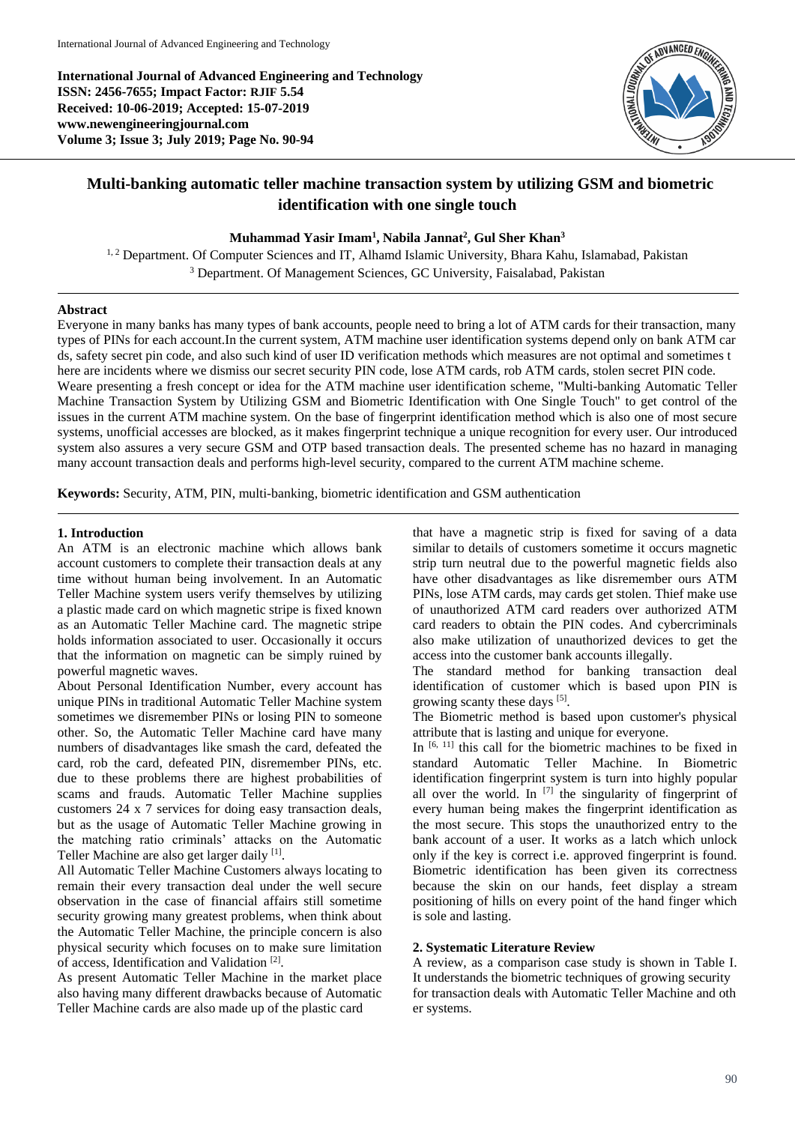**International Journal of Advanced Engineering and Technology ISSN: 2456-7655; Impact Factor: RJIF 5.54 Received: 10-06-2019; Accepted: 15-07-2019 www.newengineeringjournal.com Volume 3; Issue 3; July 2019; Page No. 90-94**



# **Multi-banking automatic teller machine transaction system by utilizing GSM and biometric identification with one single touch**

### **Muhammad Yasir Imam<sup>1</sup> , Nabila Jannat<sup>2</sup> , Gul Sher Khan<sup>3</sup>**

<sup>1, 2</sup> Department. Of Computer Sciences and IT, Alhamd Islamic University, Bhara Kahu, Islamabad, Pakistan <sup>3</sup> Department. Of Management Sciences, GC University, Faisalabad, Pakistan

### **Abstract**

Everyone in many banks has many types of bank accounts, people need to bring a lot of ATM cards for their transaction, many types of PINs for each account.In the current system, ATM machine user identification systems depend only on bank ATM car ds, safety secret pin code, and also such kind of user ID verification methods which measures are not optimal and sometimes t here are incidents where we dismiss our secret security PIN code, lose ATM cards, rob ATM cards, stolen secret PIN code. Weare presenting a fresh concept or idea for the ATM machine user identification scheme, "Multi-banking Automatic Teller Machine Transaction System by Utilizing GSM and Biometric Identification with One Single Touch" to get control of the issues in the current ATM machine system. On the base of fingerprint identification method which is also one of most secure systems, unofficial accesses are blocked, as it makes fingerprint technique a unique recognition for every user. Our introduced system also assures a very secure GSM and OTP based transaction deals. The presented scheme has no hazard in managing many account transaction deals and performs high-level security, compared to the current ATM machine scheme.

**Keywords:** Security, ATM, PIN, multi-banking, biometric identification and GSM authentication

### **1. Introduction**

An ATM is an electronic machine which allows bank account customers to complete their transaction deals at any time without human being involvement. In an Automatic Teller Machine system users verify themselves by utilizing a plastic made card on which magnetic stripe is fixed known as an Automatic Teller Machine card. The magnetic stripe holds information associated to user. Occasionally it occurs that the information on magnetic can be simply ruined by powerful magnetic waves.

About Personal Identification Number, every account has unique PINs in traditional Automatic Teller Machine system sometimes we disremember PINs or losing PIN to someone other. So, the Automatic Teller Machine card have many numbers of disadvantages like smash the card, defeated the card, rob the card, defeated PIN, disremember PINs, etc. due to these problems there are highest probabilities of scams and frauds. Automatic Teller Machine supplies customers 24 x 7 services for doing easy transaction deals, but as the usage of Automatic Teller Machine growing in the matching ratio criminals' attacks on the Automatic Teller Machine are also get larger daily [1].

All Automatic Teller Machine Customers always locating to remain their every transaction deal under the well secure observation in the case of financial affairs still sometime security growing many greatest problems, when think about the Automatic Teller Machine, the principle concern is also physical security which focuses on to make sure limitation of access, Identification and Validation [2] .

As present Automatic Teller Machine in the market place also having many different drawbacks because of Automatic Teller Machine cards are also made up of the plastic card

that have a magnetic strip is fixed for saving of a data similar to details of customers sometime it occurs magnetic strip turn neutral due to the powerful magnetic fields also have other disadvantages as like disremember ours ATM PINs, lose ATM cards, may cards get stolen. Thief make use of unauthorized ATM card readers over authorized ATM card readers to obtain the PIN codes. And cybercriminals also make utilization of unauthorized devices to get the access into the customer bank accounts illegally.

The standard method for banking transaction deal identification of customer which is based upon PIN is growing scanty these days [5].

The Biometric method is based upon customer's physical attribute that is lasting and unique for everyone.

In  $[6, 11]$  this call for the biometric machines to be fixed in standard Automatic Teller Machine. In Biometric identification fingerprint system is turn into highly popular all over the world. In  $[7]$  the singularity of fingerprint of every human being makes the fingerprint identification as the most secure. This stops the unauthorized entry to the bank account of a user. It works as a latch which unlock only if the key is correct i.e. approved fingerprint is found. Biometric identification has been given its correctness because the skin on our hands, feet display a stream positioning of hills on every point of the hand finger which is sole and lasting.

#### **2. Systematic Literature Review**

A review, as a comparison case study is shown in Table I. It understands the biometric techniques of growing security for transaction deals with Automatic Teller Machine and oth er systems.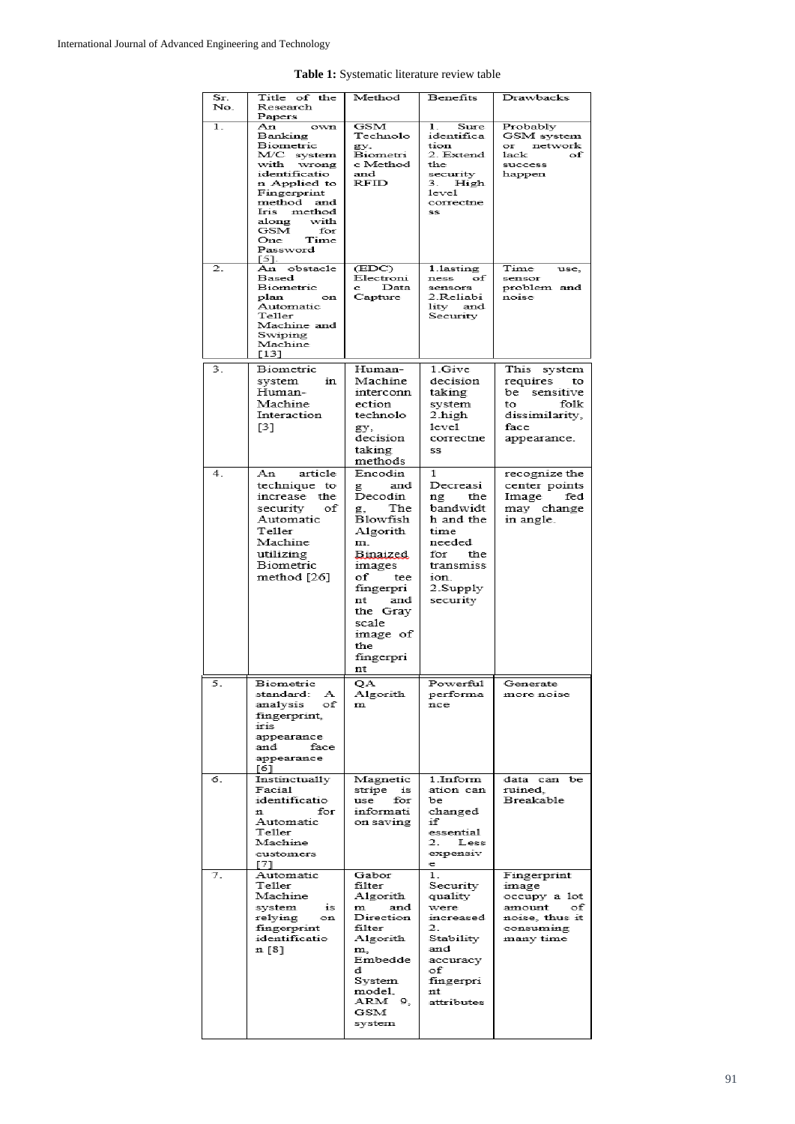| Sr.<br>No.       | Title of the<br>Research<br>Papers                                                                                                                                                                           | Method                                                                                                                                                                                             | Benefits                                                                                                                         | Drawbacks                                                                                            |
|------------------|--------------------------------------------------------------------------------------------------------------------------------------------------------------------------------------------------------------|----------------------------------------------------------------------------------------------------------------------------------------------------------------------------------------------------|----------------------------------------------------------------------------------------------------------------------------------|------------------------------------------------------------------------------------------------------|
| $\overline{1}$ . | own<br>An<br>Banking<br>Biometric<br>M/C system<br>with wrong<br>identificatio<br>n Applied to<br>Fingerprint<br>method and<br>Iris method<br>with<br>along<br>GSM<br>for<br>One<br>Time<br>Password<br>[5]. | <b>GSM</b><br>Technolo<br>gy,<br>Biometri<br>c Method<br>and<br>RFID                                                                                                                               | 1.<br>Sure<br>identifica<br>tion<br>2. Extend<br>the<br>security<br>3.<br>High<br>$1$ e $v$ e $1$<br>correctne<br>SS             | Probably<br>GSM system<br>or network<br>lack<br>оf<br>success<br>happen                              |
| 2.               | An obstacle<br>Based<br>Biometric<br>plan<br>on<br>Automatic<br>Teller<br>Machine and<br>Swiping<br>Machine<br>$[13]$                                                                                        | (EDC)<br>Electroni<br>Data<br>c<br>Capture                                                                                                                                                         | 1.lasting<br>ness<br>оf<br>sensors<br>2.Reliabi<br>lity<br>and<br>Security                                                       | Time<br>use,<br>sensor<br>problem and<br>noise                                                       |
| 3.               | Biometric<br>in<br>system<br>Human-<br>Machine<br>Interaction<br>[3]                                                                                                                                         | Human-<br>Machine<br>interconn<br>ection<br>technolo<br>gy,<br>decision<br>taking<br>methods                                                                                                       | 1.Give<br>decision<br>taking<br>system<br>2.high<br>level<br>correctne<br>SS                                                     | This system<br>requires<br>to<br>be sensitive<br>to<br>folk<br>dissimilarity,<br>face<br>appearance. |
| 4.               | Аn<br>article<br>technique to<br>increase the<br>security<br>of<br>Automatic<br>Teller<br>Machine<br>utilizing<br>Biometric<br>method [26]                                                                   | Encodin<br>and<br>g<br>Decodin<br>The<br>g,<br>Blowfish<br>Algorith<br>m.<br>Binaized.<br>images<br>of<br>tee<br>fingerpri<br>nt<br>and<br>the Gray<br>scale<br>image of<br>the<br>fingerpri<br>nt | 1<br>Decreasi<br>the<br>ng<br>bandwidt<br>h and the<br>time<br>needed<br>for<br>the<br>transmiss<br>ion.<br>2.Supply<br>security | recognize the<br>center points<br>Image<br>fed<br>may change<br>in angle.                            |
| 5.               | Biometric<br>standard:<br>А<br>of<br>analysis<br>fingerprint,<br>iris<br>appearance<br>and<br>face<br>appearance<br>[6]                                                                                      | ОA<br>Algorith<br>$\mathbf m$                                                                                                                                                                      | Powerful<br>performa<br>nce                                                                                                      | Generate<br>more noise                                                                               |
| 6.               | Instinctually<br>Facial<br>identificatio<br>for<br>n<br>Automatic<br>Teller<br>Machine<br>customers<br>[7]                                                                                                   | Magnetic<br>stripe<br>is<br>use<br>for<br>informati<br>on saving                                                                                                                                   | 1.Inform<br>ation can<br>bе<br>changed<br>if<br>essential<br>2.<br>Less<br>expensiv<br>е                                         | data can be<br>ruined.<br>Breakable                                                                  |
| 7.               | Automatic<br>Teller<br>Machine<br>system<br>1S<br>relying<br>on<br>fingerprint<br>identificatio<br>n [8]                                                                                                     | Gabor<br>filter<br>Algorith<br>${\bf m}$<br>and<br>Direction<br>filter<br>Algorith<br>m.<br>Embedde<br>d<br>System<br>model,<br>ARM 9.<br>GSM<br>system                                            | 1.<br>Security<br>quality<br>were<br>increased<br>2.<br>Stability<br>and<br>accuracy<br>оf<br>fingerpri<br>nt<br>attributes      | Fingerprint<br>image<br>occupy a lot<br>amount<br>of<br>noise, thus it<br>consuming<br>many time     |

**Table 1:** Systematic literature review table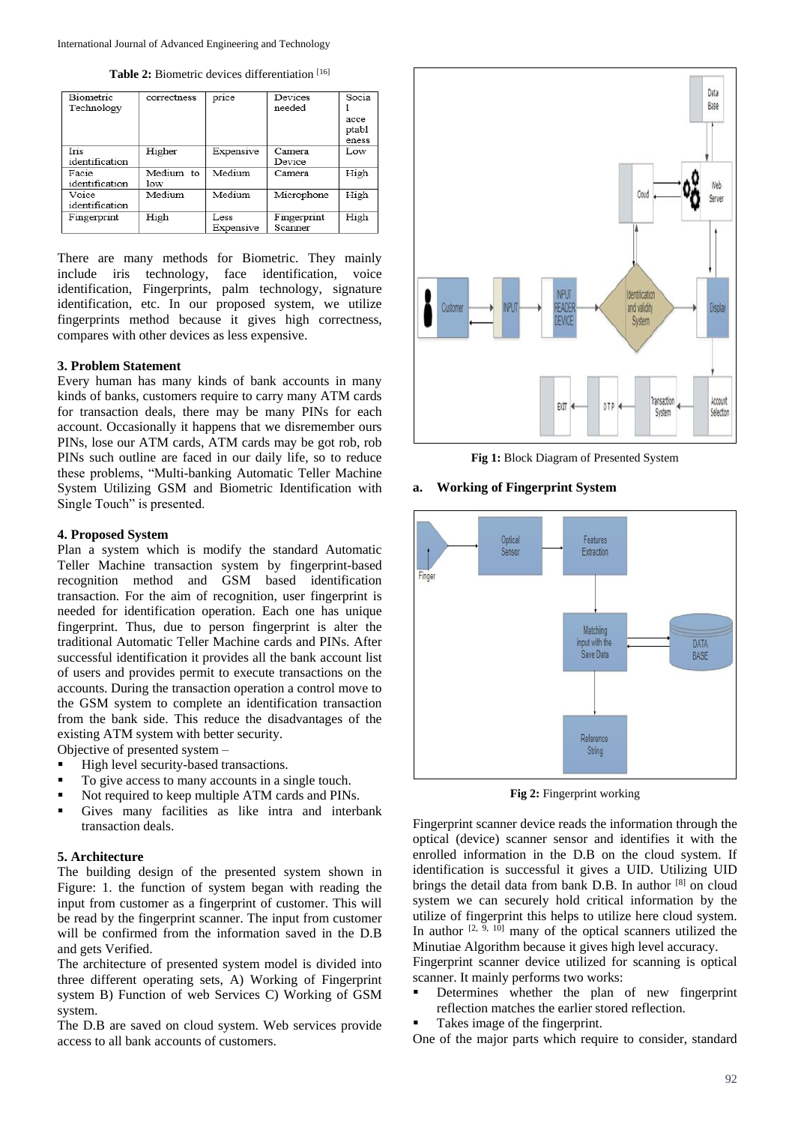Table 2: Biometric devices differentiation<sup>[16]</sup>

| Biometric<br>Technology | correctness      | price             | Devices<br>needed      | Socia                  |
|-------------------------|------------------|-------------------|------------------------|------------------------|
|                         |                  |                   |                        | acce<br>ptabl<br>eness |
| Iris<br>identification  | Higher           | Expensive         | Camera<br>Device       | Low                    |
| Facie<br>identification | Medium to<br>low | Medium            | Camera                 | High                   |
| Voice<br>identification | Medium           | Medium            | Microphone             | High                   |
| Fingerprint             | High             | Less<br>Expensive | Fingerprint<br>Scanner | High                   |

There are many methods for Biometric. They mainly include iris technology, face identification, voice identification, Fingerprints, palm technology, signature identification, etc. In our proposed system, we utilize fingerprints method because it gives high correctness, compares with other devices as less expensive.

#### **3. Problem Statement**

Every human has many kinds of bank accounts in many kinds of banks, customers require to carry many ATM cards for transaction deals, there may be many PINs for each account. Occasionally it happens that we disremember ours PINs, lose our ATM cards, ATM cards may be got rob, rob PINs such outline are faced in our daily life, so to reduce these problems, "Multi-banking Automatic Teller Machine System Utilizing GSM and Biometric Identification with Single Touch" is presented.

#### **4. Proposed System**

Plan a system which is modify the standard Automatic Teller Machine transaction system by fingerprint-based recognition method and GSM based identification transaction. For the aim of recognition, user fingerprint is needed for identification operation. Each one has unique fingerprint. Thus, due to person fingerprint is alter the traditional Automatic Teller Machine cards and PINs. After successful identification it provides all the bank account list of users and provides permit to execute transactions on the accounts. During the transaction operation a control move to the GSM system to complete an identification transaction from the bank side. This reduce the disadvantages of the existing ATM system with better security.

Objective of presented system –

- High level security-based transactions.
- To give access to many accounts in a single touch.
- Not required to keep multiple ATM cards and PINs.
- Gives many facilities as like intra and interbank transaction deals.

#### **5. Architecture**

The building design of the presented system shown in Figure: 1. the function of system began with reading the input from customer as a fingerprint of customer. This will be read by the fingerprint scanner. The input from customer will be confirmed from the information saved in the D.B and gets Verified.

The architecture of presented system model is divided into three different operating sets, A) Working of Fingerprint system B) Function of web Services C) Working of GSM system.

The D.B are saved on cloud system. Web services provide access to all bank accounts of customers.



**Fig 1:** Block Diagram of Presented System

## **a. Working of Fingerprint System**



**Fig 2:** Fingerprint working

Fingerprint scanner device reads the information through the optical (device) scanner sensor and identifies it with the enrolled information in the D.B on the cloud system. If identification is successful it gives a UID. Utilizing UID brings the detail data from bank D.B. In author [8] on cloud system we can securely hold critical information by the utilize of fingerprint this helps to utilize here cloud system. In author  $[2, \frac{5}{9}, 10]$  many of the optical scanners utilized the Minutiae Algorithm because it gives high level accuracy.

Fingerprint scanner device utilized for scanning is optical scanner. It mainly performs two works:

- Determines whether the plan of new fingerprint reflection matches the earlier stored reflection.
- Takes image of the fingerprint.

One of the major parts which require to consider, standard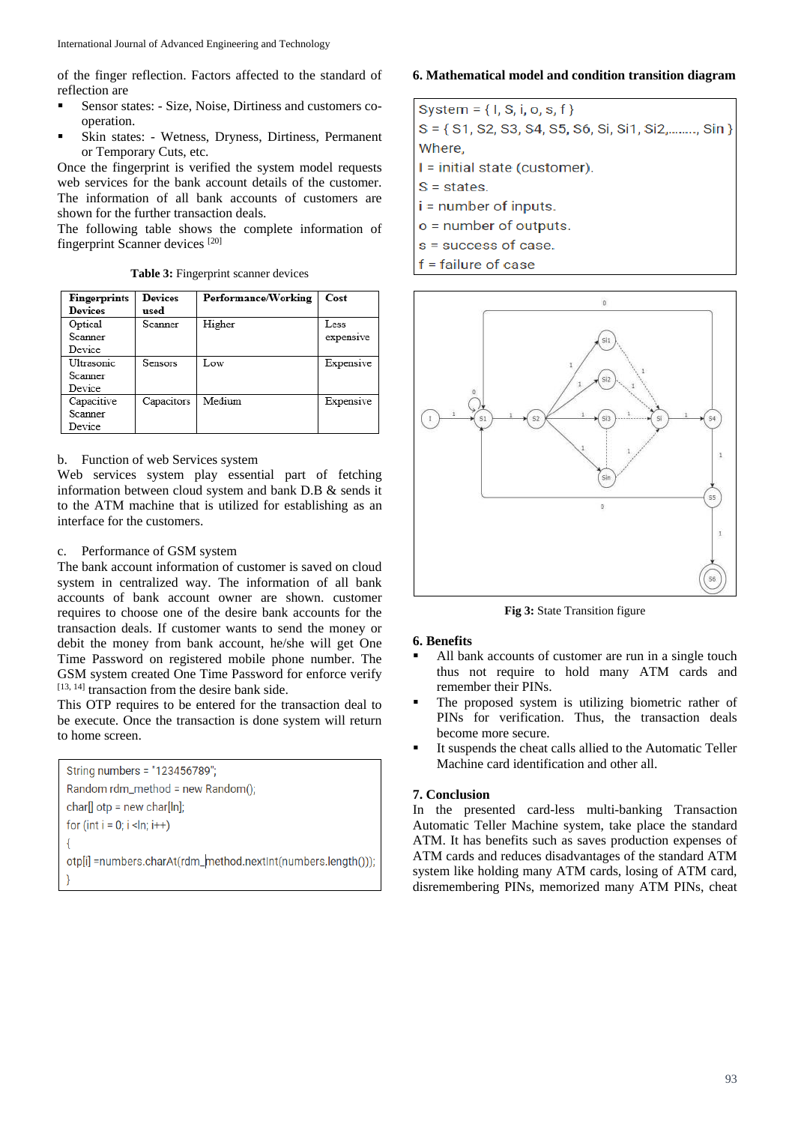of the finger reflection. Factors affected to the standard of reflection are

- Sensor states: Size, Noise, Dirtiness and customers cooperation.
- Skin states: Wetness, Dryness, Dirtiness, Permanent or Temporary Cuts, etc.

Once the fingerprint is verified the system model requests web services for the bank account details of the customer. The information of all bank accounts of customers are shown for the further transaction deals.

The following table shows the complete information of fingerprint Scanner devices [20]

**Table 3:** Fingerprint scanner devices

| <b>Fingerprints</b><br>Devices   | <b>Devices</b><br>used | Performance/Working | Cost      |
|----------------------------------|------------------------|---------------------|-----------|
| Optical<br>Scanner               | Scanner                | Higher              | Less      |
| Device                           |                        |                     | expensive |
| Ultrasonic.<br>Scanner<br>Device | Sensors                | Low                 | Expensive |
| Capacitive<br>Scanner<br>Device  | Capacitors             | Medium              | Expensive |

# b. Function of web Services system

Web services system play essential part of fetching information between cloud system and bank D.B & sends it to the ATM machine that is utilized for establishing as an interface for the customers.

# c. Performance of GSM system

The bank account information of customer is saved on cloud system in centralized way. The information of all bank accounts of bank account owner are shown. customer requires to choose one of the desire bank accounts for the transaction deals. If customer wants to send the money or debit the money from bank account, he/she will get One Time Password on registered mobile phone number. The GSM system created One Time Password for enforce verify [13, 14] transaction from the desire bank side.

This OTP requires to be entered for the transaction deal to be execute. Once the transaction is done system will return to home screen.

String numbers = "123456789"; Random rdm\_method = new Random(); char[]  $otp = new char[ln];$ for  $(int i = 0; i < In; i++)$ Į otp[i] =numbers.charAt(rdm\_method.nextInt(numbers.length()));

# **6. Mathematical model and condition transition diagram**

| System = $\{ I, S, i, o, s, f \}$                        |
|----------------------------------------------------------|
| $S = \{ S1, S2, S3, S4, S5, S6, S1, S12, \ldots, S1n \}$ |
| Where.                                                   |
| $I = initial state (customer).$                          |
| $S = states$ .                                           |
| $i =$ number of inputs.                                  |
| $o$ = number of outputs.                                 |
| s = success of case.                                     |
| $f =$ failure of case                                    |



**Fig 3:** State Transition figure

## **6. Benefits**

- All bank accounts of customer are run in a single touch thus not require to hold many ATM cards and remember their PINs.
- The proposed system is utilizing biometric rather of PINs for verification. Thus, the transaction deals become more secure.
- It suspends the cheat calls allied to the Automatic Teller Machine card identification and other all.

# **7. Conclusion**

In the presented card-less multi-banking Transaction Automatic Teller Machine system, take place the standard ATM. It has benefits such as saves production expenses of ATM cards and reduces disadvantages of the standard ATM system like holding many ATM cards, losing of ATM card, disremembering PINs, memorized many ATM PINs, cheat